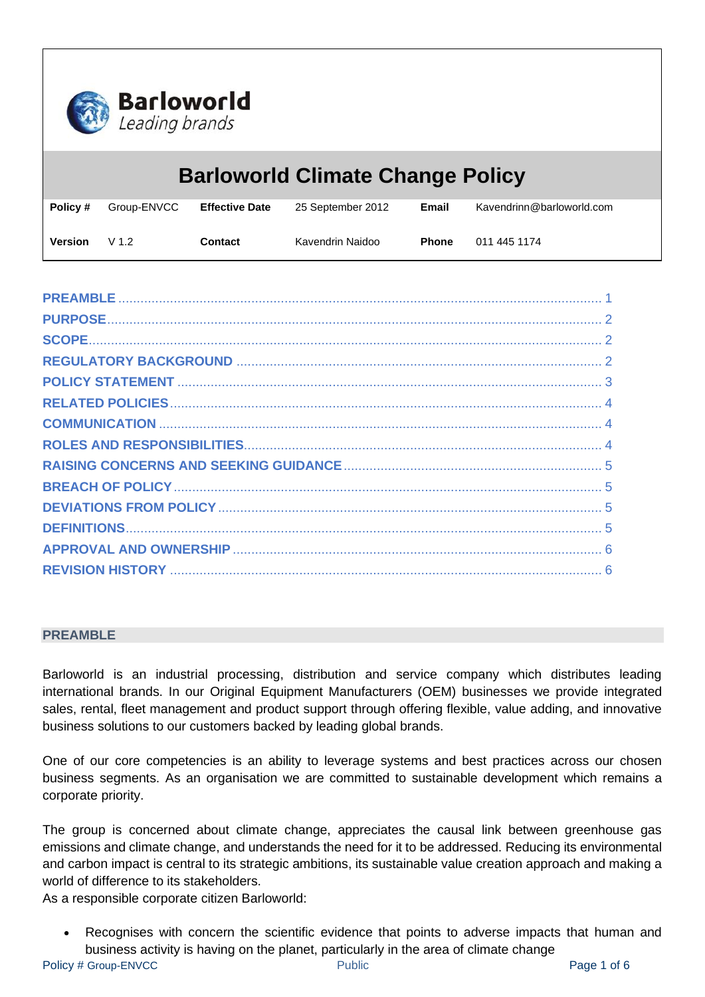

| <b>Barloworld Climate Change Policy</b> |                  |                       |                   |              |                           |
|-----------------------------------------|------------------|-----------------------|-------------------|--------------|---------------------------|
| Policy #                                | Group-ENVCC      | <b>Effective Date</b> | 25 September 2012 | Email        | Kavendrinn@barloworld.com |
| <b>Version</b>                          | V <sub>1.2</sub> | Contact               | Kavendrin Naidoo  | <b>Phone</b> | 011 445 1174              |

## <span id="page-0-0"></span>**PREAMBLE**

Barloworld is an industrial processing, distribution and service company which distributes leading international brands. In our Original Equipment Manufacturers (OEM) businesses we provide integrated sales, rental, fleet management and product support through offering flexible, value adding, and innovative business solutions to our customers backed by leading global brands.

One of our core competencies is an ability to leverage systems and best practices across our chosen business segments. As an organisation we are committed to sustainable development which remains a corporate priority.

The group is concerned about climate change, appreciates the causal link between greenhouse gas emissions and climate change, and understands the need for it to be addressed. Reducing its environmental and carbon impact is central to its strategic ambitions, its sustainable value creation approach and making a world of difference to its stakeholders.

As a responsible corporate citizen Barloworld:

Recognises with concern the scientific evidence that points to adverse impacts that human and business activity is having on the planet, particularly in the area of climate change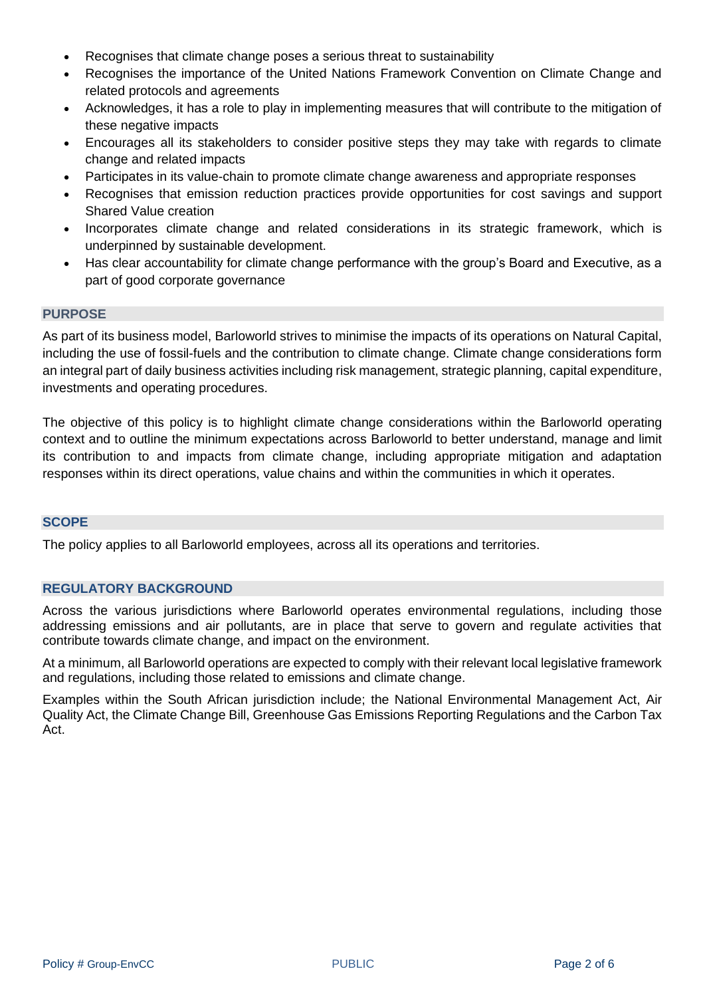- Recognises that climate change poses a serious threat to sustainability
- Recognises the importance of the United Nations Framework Convention on Climate Change and related protocols and agreements
- Acknowledges, it has a role to play in implementing measures that will contribute to the mitigation of these negative impacts
- Encourages all its stakeholders to consider positive steps they may take with regards to climate change and related impacts
- Participates in its value-chain to promote climate change awareness and appropriate responses
- Recognises that emission reduction practices provide opportunities for cost savings and support Shared Value creation
- Incorporates climate change and related considerations in its strategic framework, which is underpinned by sustainable development.
- Has clear accountability for climate change performance with the group's Board and Executive, as a part of good corporate governance

## <span id="page-1-0"></span>**PURPOSE**

As part of its business model, Barloworld strives to minimise the impacts of its operations on Natural Capital, including the use of fossil-fuels and the contribution to climate change. Climate change considerations form an integral part of daily business activities including risk management, strategic planning, capital expenditure, investments and operating procedures.

The objective of this policy is to highlight climate change considerations within the Barloworld operating context and to outline the minimum expectations across Barloworld to better understand, manage and limit its contribution to and impacts from climate change, including appropriate mitigation and adaptation responses within its direct operations, value chains and within the communities in which it operates.

## <span id="page-1-1"></span>**SCOPE**

The policy applies to all Barloworld employees, across all its operations and territories.

## <span id="page-1-2"></span>**REGULATORY BACKGROUND**

Across the various jurisdictions where Barloworld operates environmental regulations, including those addressing emissions and air pollutants, are in place that serve to govern and regulate activities that contribute towards climate change, and impact on the environment.

At a minimum, all Barloworld operations are expected to comply with their relevant local legislative framework and regulations, including those related to emissions and climate change.

Examples within the South African jurisdiction include; the National Environmental Management Act, Air Quality Act, the Climate Change Bill, Greenhouse Gas Emissions Reporting Regulations and the Carbon Tax Act.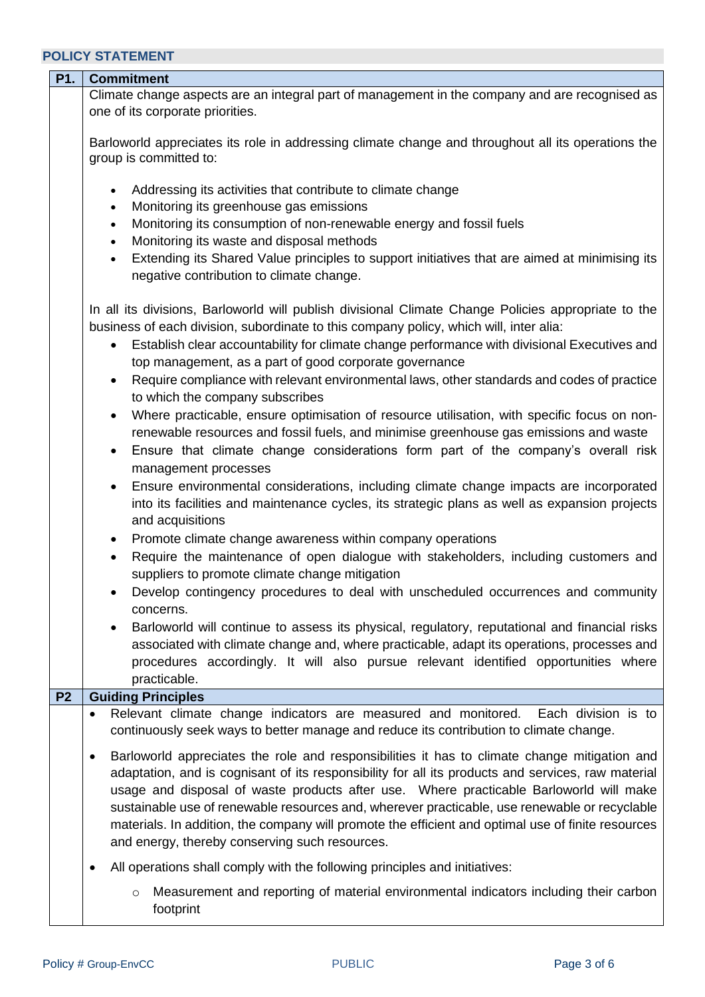<span id="page-2-0"></span>

| P1.            | <b>Commitment</b>                                                                                                                                                                                                                                                                                                                                                                                                                                                                                                                                                                                                                                                                                                                                                  |  |  |  |  |
|----------------|--------------------------------------------------------------------------------------------------------------------------------------------------------------------------------------------------------------------------------------------------------------------------------------------------------------------------------------------------------------------------------------------------------------------------------------------------------------------------------------------------------------------------------------------------------------------------------------------------------------------------------------------------------------------------------------------------------------------------------------------------------------------|--|--|--|--|
|                | Climate change aspects are an integral part of management in the company and are recognised as                                                                                                                                                                                                                                                                                                                                                                                                                                                                                                                                                                                                                                                                     |  |  |  |  |
|                | one of its corporate priorities.                                                                                                                                                                                                                                                                                                                                                                                                                                                                                                                                                                                                                                                                                                                                   |  |  |  |  |
|                | Barloworld appreciates its role in addressing climate change and throughout all its operations the<br>group is committed to:                                                                                                                                                                                                                                                                                                                                                                                                                                                                                                                                                                                                                                       |  |  |  |  |
|                | Addressing its activities that contribute to climate change<br>$\bullet$<br>Monitoring its greenhouse gas emissions<br>$\bullet$                                                                                                                                                                                                                                                                                                                                                                                                                                                                                                                                                                                                                                   |  |  |  |  |
|                | Monitoring its consumption of non-renewable energy and fossil fuels<br>$\bullet$<br>Monitoring its waste and disposal methods<br>$\bullet$                                                                                                                                                                                                                                                                                                                                                                                                                                                                                                                                                                                                                         |  |  |  |  |
|                | Extending its Shared Value principles to support initiatives that are aimed at minimising its<br>$\bullet$<br>negative contribution to climate change.                                                                                                                                                                                                                                                                                                                                                                                                                                                                                                                                                                                                             |  |  |  |  |
|                | In all its divisions, Barloworld will publish divisional Climate Change Policies appropriate to the<br>business of each division, subordinate to this company policy, which will, inter alia:                                                                                                                                                                                                                                                                                                                                                                                                                                                                                                                                                                      |  |  |  |  |
|                | Establish clear accountability for climate change performance with divisional Executives and<br>٠<br>top management, as a part of good corporate governance                                                                                                                                                                                                                                                                                                                                                                                                                                                                                                                                                                                                        |  |  |  |  |
|                | Require compliance with relevant environmental laws, other standards and codes of practice<br>$\bullet$<br>to which the company subscribes                                                                                                                                                                                                                                                                                                                                                                                                                                                                                                                                                                                                                         |  |  |  |  |
|                | Where practicable, ensure optimisation of resource utilisation, with specific focus on non-<br>renewable resources and fossil fuels, and minimise greenhouse gas emissions and waste                                                                                                                                                                                                                                                                                                                                                                                                                                                                                                                                                                               |  |  |  |  |
|                | Ensure that climate change considerations form part of the company's overall risk<br>$\bullet$<br>management processes                                                                                                                                                                                                                                                                                                                                                                                                                                                                                                                                                                                                                                             |  |  |  |  |
|                | Ensure environmental considerations, including climate change impacts are incorporated<br>$\bullet$<br>into its facilities and maintenance cycles, its strategic plans as well as expansion projects<br>and acquisitions                                                                                                                                                                                                                                                                                                                                                                                                                                                                                                                                           |  |  |  |  |
|                | Promote climate change awareness within company operations<br>$\bullet$                                                                                                                                                                                                                                                                                                                                                                                                                                                                                                                                                                                                                                                                                            |  |  |  |  |
|                | Require the maintenance of open dialogue with stakeholders, including customers and<br>$\bullet$<br>suppliers to promote climate change mitigation                                                                                                                                                                                                                                                                                                                                                                                                                                                                                                                                                                                                                 |  |  |  |  |
|                | Develop contingency procedures to deal with unscheduled occurrences and community<br>concerns.                                                                                                                                                                                                                                                                                                                                                                                                                                                                                                                                                                                                                                                                     |  |  |  |  |
|                | Barloworld will continue to assess its physical, regulatory, reputational and financial risks<br>associated with climate change and, where practicable, adapt its operations, processes and<br>procedures accordingly. It will also pursue relevant identified opportunities where<br>practicable.                                                                                                                                                                                                                                                                                                                                                                                                                                                                 |  |  |  |  |
| P <sub>2</sub> | <b>Guiding Principles</b>                                                                                                                                                                                                                                                                                                                                                                                                                                                                                                                                                                                                                                                                                                                                          |  |  |  |  |
|                | Relevant climate change indicators are measured and monitored.<br>Each division is to<br>$\bullet$<br>continuously seek ways to better manage and reduce its contribution to climate change.<br>Barloworld appreciates the role and responsibilities it has to climate change mitigation and<br>$\bullet$<br>adaptation, and is cognisant of its responsibility for all its products and services, raw material<br>usage and disposal of waste products after use. Where practicable Barloworld will make<br>sustainable use of renewable resources and, wherever practicable, use renewable or recyclable<br>materials. In addition, the company will promote the efficient and optimal use of finite resources<br>and energy, thereby conserving such resources. |  |  |  |  |
|                |                                                                                                                                                                                                                                                                                                                                                                                                                                                                                                                                                                                                                                                                                                                                                                    |  |  |  |  |
|                | All operations shall comply with the following principles and initiatives:<br>$\bullet$                                                                                                                                                                                                                                                                                                                                                                                                                                                                                                                                                                                                                                                                            |  |  |  |  |
|                | Measurement and reporting of material environmental indicators including their carbon<br>$\circ$<br>footprint                                                                                                                                                                                                                                                                                                                                                                                                                                                                                                                                                                                                                                                      |  |  |  |  |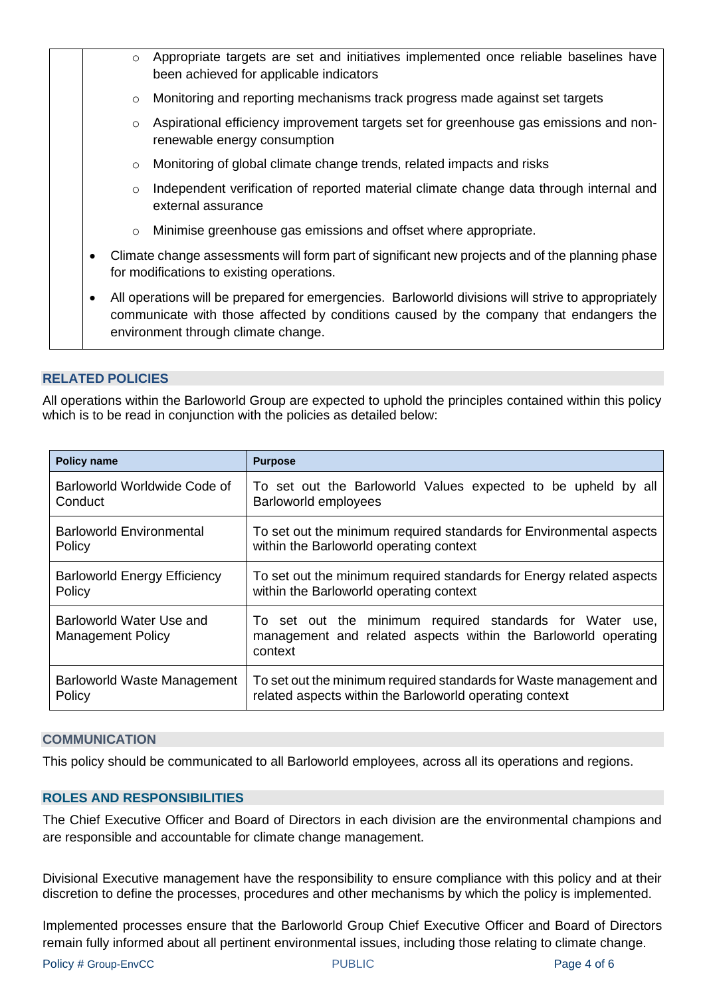| Appropriate targets are set and initiatives implemented once reliable baselines have<br>$\circ$<br>been achieved for applicable indicators                                                                                                       |  |  |  |
|--------------------------------------------------------------------------------------------------------------------------------------------------------------------------------------------------------------------------------------------------|--|--|--|
| Monitoring and reporting mechanisms track progress made against set targets<br>$\circ$                                                                                                                                                           |  |  |  |
| Aspirational efficiency improvement targets set for greenhouse gas emissions and non-<br>O<br>renewable energy consumption                                                                                                                       |  |  |  |
| Monitoring of global climate change trends, related impacts and risks<br>$\circ$                                                                                                                                                                 |  |  |  |
| Independent verification of reported material climate change data through internal and<br>O<br>external assurance                                                                                                                                |  |  |  |
| Minimise greenhouse gas emissions and offset where appropriate.<br>$\circ$                                                                                                                                                                       |  |  |  |
| Climate change assessments will form part of significant new projects and of the planning phase<br>$\bullet$<br>for modifications to existing operations.                                                                                        |  |  |  |
| All operations will be prepared for emergencies. Barloworld divisions will strive to appropriately<br>$\bullet$<br>communicate with those affected by conditions caused by the company that endangers the<br>environment through climate change. |  |  |  |
|                                                                                                                                                                                                                                                  |  |  |  |

## <span id="page-3-0"></span>**RELATED POLICIES**

All operations within the Barloworld Group are expected to uphold the principles contained within this policy which is to be read in conjunction with the policies as detailed below:

| <b>Policy name</b>                                   | <b>Purpose</b>                                                                                                                        |  |  |
|------------------------------------------------------|---------------------------------------------------------------------------------------------------------------------------------------|--|--|
| Barloworld Worldwide Code of                         | To set out the Barloworld Values expected to be upheld by all                                                                         |  |  |
| Conduct                                              | Barloworld employees                                                                                                                  |  |  |
| <b>Barloworld Environmental</b>                      | To set out the minimum required standards for Environmental aspects                                                                   |  |  |
| Policy                                               | within the Barloworld operating context                                                                                               |  |  |
| <b>Barloworld Energy Efficiency</b>                  | To set out the minimum required standards for Energy related aspects                                                                  |  |  |
| Policy                                               | within the Barloworld operating context                                                                                               |  |  |
| Barloworld Water Use and<br><b>Management Policy</b> | To set out the minimum required standards for Water use,<br>management and related aspects within the Barloworld operating<br>context |  |  |
| Barloworld Waste Management                          | To set out the minimum required standards for Waste management and                                                                    |  |  |
| Policy                                               | related aspects within the Barloworld operating context                                                                               |  |  |

#### <span id="page-3-1"></span>**COMMUNICATION**

<span id="page-3-2"></span>This policy should be communicated to all Barloworld employees, across all its operations and regions.

#### **ROLES AND RESPONSIBILITIES**

The Chief Executive Officer and Board of Directors in each division are the environmental champions and are responsible and accountable for climate change management.

Divisional Executive management have the responsibility to ensure compliance with this policy and at their discretion to define the processes, procedures and other mechanisms by which the policy is implemented.

Implemented processes ensure that the Barloworld Group Chief Executive Officer and Board of Directors remain fully informed about all pertinent environmental issues, including those relating to climate change.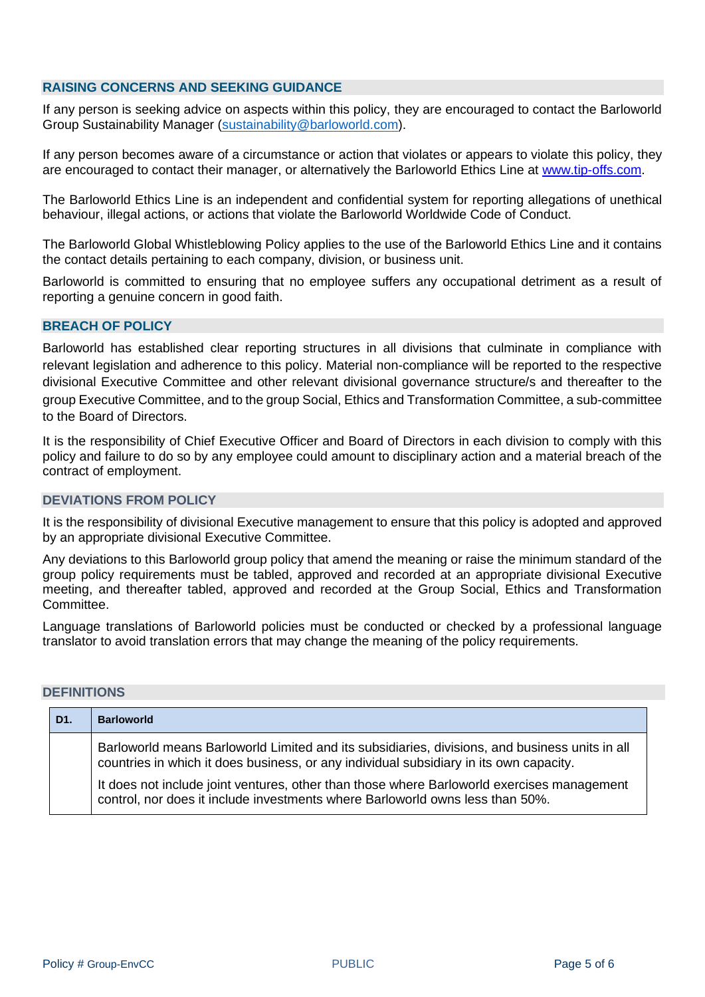#### <span id="page-4-0"></span>**RAISING CONCERNS AND SEEKING GUIDANCE**

If any person is seeking advice on aspects within this policy, they are encouraged to contact the Barloworld Group Sustainability Manager [\(sustainability@barloworld.com\)](mailto:sustainability@barloworld.com).

If any person becomes aware of a circumstance or action that violates or appears to violate this policy, they are encouraged to contact their manager, or alternatively the Barloworld Ethics Line at [www.tip-offs.com.](http://www.top-offs.com/)

The Barloworld Ethics Line is an independent and confidential system for reporting allegations of unethical behaviour, illegal actions, or actions that violate the Barloworld Worldwide Code of Conduct.

The Barloworld Global Whistleblowing Policy applies to the use of the Barloworld Ethics Line and it contains the contact details pertaining to each company, division, or business unit.

Barloworld is committed to ensuring that no employee suffers any occupational detriment as a result of reporting a genuine concern in good faith.

## <span id="page-4-1"></span>**BREACH OF POLICY**

Barloworld has established clear reporting structures in all divisions that culminate in compliance with relevant legislation and adherence to this policy. Material non-compliance will be reported to the respective divisional Executive Committee and other relevant divisional governance structure/s and thereafter to the group Executive Committee, and to the group Social, Ethics and Transformation Committee, a sub-committee to the Board of Directors.

It is the responsibility of Chief Executive Officer and Board of Directors in each division to comply with this policy and failure to do so by any employee could amount to disciplinary action and a material breach of the contract of employment.

#### <span id="page-4-2"></span>**DEVIATIONS FROM POLICY**

It is the responsibility of divisional Executive management to ensure that this policy is adopted and approved by an appropriate divisional Executive Committee.

Any deviations to this Barloworld group policy that amend the meaning or raise the minimum standard of the group policy requirements must be tabled, approved and recorded at an appropriate divisional Executive meeting, and thereafter tabled, approved and recorded at the Group Social, Ethics and Transformation Committee.

Language translations of Barloworld policies must be conducted or checked by a professional language translator to avoid translation errors that may change the meaning of the policy requirements.

#### <span id="page-4-3"></span>**DEFINITIONS**

|  | D1. | <b>Barloworld</b>                                                                                                                                                                        |
|--|-----|------------------------------------------------------------------------------------------------------------------------------------------------------------------------------------------|
|  |     | Barloworld means Barloworld Limited and its subsidiaries, divisions, and business units in all<br>countries in which it does business, or any individual subsidiary in its own capacity. |
|  |     | It does not include joint ventures, other than those where Barloworld exercises management<br>control, nor does it include investments where Barloworld owns less than 50%.              |